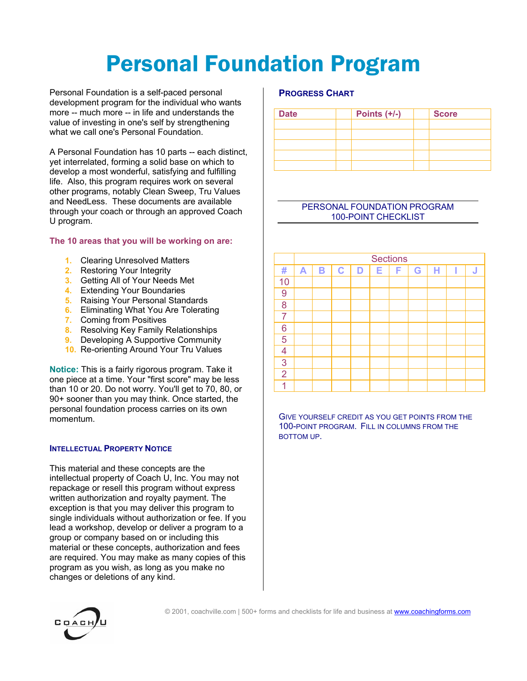# Personal Foundation Program

Personal Foundation is a self-paced personal development program for the individual who wants more -- much more -- in life and understands the value of investing in one's self by strengthening what we call one's Personal Foundation.

A Personal Foundation has 10 parts -- each distinct, yet interrelated, forming a solid base on which to develop a most wonderful, satisfying and fulfilling life. Also, this program requires work on several other programs, notably Clean Sweep, Tru Values and NeedLess. These documents are available through your coach or through an approved Coach U program.

### **The 10 areas that you will be working on are:**

- **1.** Clearing Unresolved Matters
- **2.** Restoring Your Integrity
- **3.** Getting All of Your Needs Met
- **4.** Extending Your Boundaries
- **5.** Raising Your Personal Standards
- **6.** Eliminating What You Are Tolerating
- **7.** Coming from Positives
- **8.** Resolving Key Family Relationships
- **9.** Developing A Supportive Community
- **10.** Re-orienting Around Your Tru Values

**Notice:** This is a fairly rigorous program. Take it one piece at a time. Your "first score" may be less than 10 or 20. Do not worry. You'll get to 70, 80, or 90+ sooner than you may think. Once started, the personal foundation process carries on its own momentum.

### **INTELLECTUAL PROPERTY NOTICE**

This material and these concepts are the intellectual property of Coach U, Inc. You may not repackage or resell this program without express written authorization and royalty payment. The exception is that you may deliver this program to single individuals without authorization or fee. If you lead a workshop, develop or deliver a program to a group or company based on or including this material or these concepts, authorization and fees are required. You may make as many copies of this program as you wish, as long as you make no changes or deletions of any kind.

### **PROGRESS CHART**

| <b>Date</b> | Points $(+/-)$ | <b>Score</b> |  |  |
|-------------|----------------|--------------|--|--|
|             |                |              |  |  |
|             |                |              |  |  |
|             |                |              |  |  |
|             |                |              |  |  |
|             |                |              |  |  |

### PERSONAL FOUNDATION PROGRAM 100-POINT CHECKLIST

|                | <b>Sections</b> |   |             |   |   |   |   |   |   |   |  |  |
|----------------|-----------------|---|-------------|---|---|---|---|---|---|---|--|--|
| #              | A               | B | $\mathbf C$ | D | E | F | G | н | I | J |  |  |
| 10             |                 |   |             |   |   |   |   |   |   |   |  |  |
| 9              |                 |   |             |   |   |   |   |   |   |   |  |  |
| 8              |                 |   |             |   |   |   |   |   |   |   |  |  |
| $\overline{7}$ |                 |   |             |   |   |   |   |   |   |   |  |  |
| 6              |                 |   |             |   |   |   |   |   |   |   |  |  |
| 5              |                 |   |             |   |   |   |   |   |   |   |  |  |
| $\overline{4}$ |                 |   |             |   |   |   |   |   |   |   |  |  |
| 3              |                 |   |             |   |   |   |   |   |   |   |  |  |
| $\overline{2}$ |                 |   |             |   |   |   |   |   |   |   |  |  |
|                |                 |   |             |   |   |   |   |   |   |   |  |  |

GIVE YOURSELF CREDIT AS YOU GET POINTS FROM THE 100-POINT PROGRAM. FILL IN COLUMNS FROM THE BOTTOM UP.

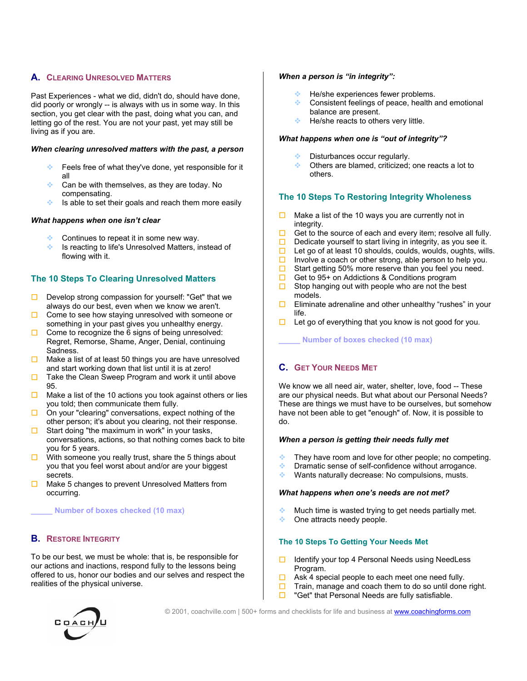### **A. CLEARING UNRESOLVED MATTERS**

Past Experiences - what we did, didn't do, should have done, did poorly or wrongly -- is always with us in some way. In this section, you get clear with the past, doing what you can, and letting go of the rest. You are not your past, yet may still be living as if you are.

#### *When clearing unresolved matters with the past, a person*

- Feels free of what they've done, yet responsible for it all
- Can be with themselves, as they are today. No compensating.
- $\bullet$  Is able to set their goals and reach them more easily

### *What happens when one isn't clear*

- Continues to repeat it in some new way.
- **EXECUTE:** Is reacting to life's Unresolved Matters, instead of flowing with it.

### **The 10 Steps To Clearing Unresolved Matters**

- Develop strong compassion for yourself: "Get" that we always do our best, even when we know we aren't.
- Come to see how staying unresolved with someone or something in your past gives you unhealthy energy.
- $\Box$  Come to recognize the 6 signs of being unresolved: Regret, Remorse, Shame, Anger, Denial, continuing Sadness.
- $\Box$  Make a list of at least 50 things you are have unresolved and start working down that list until it is at zero!
- $\Box$  Take the Clean Sweep Program and work it until above 95.
- $\Box$  Make a list of the 10 actions you took against others or lies you told; then communicate them fully.
- On your "clearing" conversations, expect nothing of the other person; it's about you clearing, not their response.
- $\square$  Start doing "the maximum in work" in your tasks, conversations, actions, so that nothing comes back to bite you for 5 years.
- $\Box$  With someone you really trust, share the 5 things about you that you feel worst about and/or are your biggest secrets.
- $\Box$  Make 5 changes to prevent Unresolved Matters from occurring.

#### **\_\_\_\_\_ Number of boxes checked (10 max)**

### **B. RESTORE INTEGRITY**

To be our best, we must be whole: that is, be responsible for our actions and inactions, respond fully to the lessons being offered to us, honor our bodies and our selves and respect the realities of the physical universe.

#### *When a person is "in integrity":*

- He/she experiences fewer problems.
- Consistent feelings of peace, health and emotional balance are present.
- He/she reacts to others very little.

#### *What happens when one is "out of integrity"?*

- Disturbances occur regularly.
- Others are blamed, criticized; one reacts a lot to others.

### **The 10 Steps To Restoring Integrity Wholeness**

- $\Box$  Make a list of the 10 ways you are currently not in integrity.
- $\Box$  Get to the source of each and every item; resolve all fully.
- $\Box$  Dedicate yourself to start living in integrity, as you see it.
- $\Box$  Let go of at least 10 shoulds, coulds, woulds, oughts, wills.
- Involve a coach or other strong, able person to help you.<br>In Start getting 50% more reserve than you feel you need.
- Start getting 50% more reserve than you feel you need.
- $\Box$  Get to 95+ on Addictions & Conditions program
- $\Box$  Stop hanging out with people who are not the best models.
- **Eliminate adrenaline and other unhealthy "rushes" in your** life.
- $\Box$  Let go of everything that you know is not good for you.

**\_\_\_\_\_ Number of boxes checked (10 max)** 

### **C. GET YOUR NEEDS MET**

We know we all need air, water, shelter, love, food -- These are our physical needs. But what about our Personal Needs? These are things we must have to be ourselves, but somehow have not been able to get "enough" of. Now, it is possible to do.

### *When a person is getting their needs fully met*

- **They have room and love for other people; no competing.**
- **Dramatic sense of self-confidence without arrogance.**
- **◆ Wants naturally decrease: No compulsions, musts.**

#### *What happens when one's needs are not met?*

- Much time is wasted trying to get needs partially met.
- ◆ One attracts needy people.

### **The 10 Steps To Getting Your Needs Met**

- $\Box$  Identify your top 4 Personal Needs using NeedLess Program.
- $\Box$  Ask 4 special people to each meet one need fully.
- $\Box$  Train, manage and coach them to do so until done right.
- $\Box$  "Get" that Personal Needs are fully satisfiable.



© 2001, coachville.com | 500+ forms and checklists for life and business at www.coachingforms.com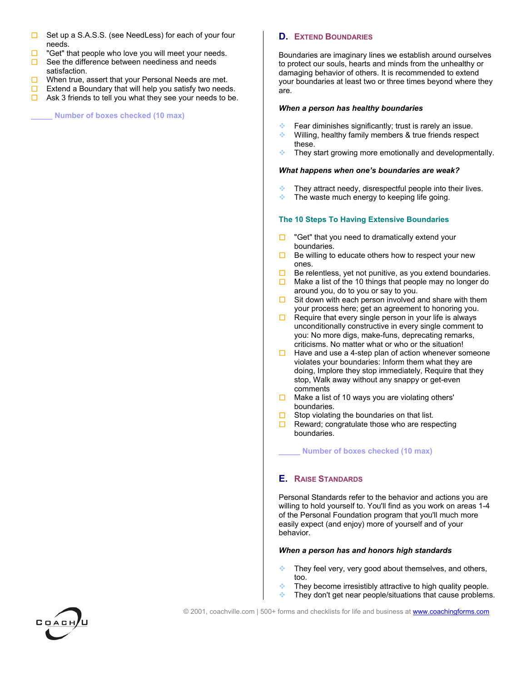- Set up a S.A.S.S. (see NeedLess) for each of your four needs.
- "Get" that people who love you will meet your needs.
- $\Box$  See the difference between neediness and needs satisfaction.
- $\Box$  When true, assert that your Personal Needs are met.
- Extend a Boundary that will help you satisfy two needs.
- $\Box$  Ask 3 friends to tell you what they see your needs to be.

**\_\_\_\_\_ Number of boxes checked (10 max)** 

### **D. EXTEND BOUNDARIES**

Boundaries are imaginary lines we establish around ourselves to protect our souls, hearts and minds from the unhealthy or damaging behavior of others. It is recommended to extend your boundaries at least two or three times beyond where they are.

#### *When a person has healthy boundaries*

- Fear diminishes significantly; trust is rarely an issue.
- **Willing, healthy family members & true friends respect** these.
- $\cdot$  They start growing more emotionally and developmentally.

#### *What happens when one's boundaries are weak?*

- They attract needy, disrespectful people into their lives.
- The waste much energy to keeping life going.

### **The 10 Steps To Having Extensive Boundaries**

- $\Box$  "Get" that you need to dramatically extend your boundaries.
- $\Box$  Be willing to educate others how to respect your new ones.
- Be relentless, yet not punitive, as you extend boundaries.
- $\Box$  Make a list of the 10 things that people may no longer do around you, do to you or say to you.
- $\Box$  Sit down with each person involved and share with them your process here; get an agreement to honoring you.
- $\Box$  Require that every single person in your life is always unconditionally constructive in every single comment to you: No more digs, make-funs, deprecating remarks, criticisms. No matter what or who or the situation!
- $\Box$  Have and use a 4-step plan of action whenever someone violates your boundaries: Inform them what they are doing, Implore they stop immediately, Require that they stop, Walk away without any snappy or get-even comments
- $\Box$  Make a list of 10 ways you are violating others' boundaries.
- $\Box$  Stop violating the boundaries on that list.
- $\Box$  Reward; congratulate those who are respecting boundaries.

#### **\_\_\_\_\_ Number of boxes checked (10 max)**

### **E. RAISE STANDARDS**

Personal Standards refer to the behavior and actions you are willing to hold yourself to. You'll find as you work on areas 1-4 of the Personal Foundation program that you'll much more easily expect (and enjoy) more of yourself and of your behavior.

#### *When a person has and honors high standards*

- $\bullet$  They feel very, very good about themselves, and others, too.
- $\cdot$  They become irresistibly attractive to high quality people.
- $\bullet$  They don't get near people/situations that cause problems.

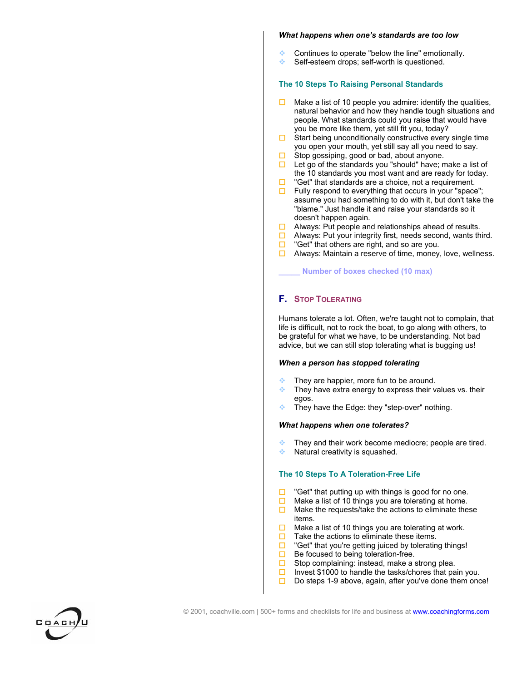#### *What happens when one's standards are too low*

- Continues to operate "below the line" emotionally.
- Self-esteem drops; self-worth is questioned.

### **The 10 Steps To Raising Personal Standards**

- $\Box$  Make a list of 10 people you admire: identify the qualities, natural behavior and how they handle tough situations and people. What standards could you raise that would have you be more like them, yet still fit you, today?
- $\Box$  Start being unconditionally constructive every single time you open your mouth, yet still say all you need to say.
- $\Box$  Stop gossiping, good or bad, about anyone.
- $\Box$  Let go of the standards you "should" have; make a list of the 10 standards you most want and are ready for today.
- "Get" that standards are a choice, not a requirement.
- $\Box$  Fully respond to everything that occurs in your "space"; assume you had something to do with it, but don't take the "blame." Just handle it and raise your standards so it doesn't happen again.
- $\Box$  Always: Put people and relationships ahead of results.
- $\Box$  Always: Put your integrity first, needs second, wants third.
- $\Box$  "Get" that others are right, and so are you.
- $\Box$  Always: Maintain a reserve of time, money, love, wellness.

**\_\_\_\_\_ Number of boxes checked (10 max)** 

### **F. STOP TOLERATING**

Humans tolerate a lot. Often, we're taught not to complain, that life is difficult, not to rock the boat, to go along with others, to be grateful for what we have, to be understanding. Not bad advice, but we can still stop tolerating what is bugging us!

### *When a person has stopped tolerating*

- They are happier, more fun to be around.
- $\cdot$  They have extra energy to express their values vs. their egos.
- They have the Edge: they "step-over" nothing.

### *What happens when one tolerates?*

- They and their work become mediocre; people are tired.
- Natural creativity is squashed.

### **The 10 Steps To A Toleration-Free Life**

- $\Box$  "Get" that putting up with things is good for no one.
- $\Box$  Make a list of 10 things you are tolerating at home.<br> $\Box$  Make the requests/take the actions to eliminate the
- Make the requests/take the actions to eliminate these items.
- $\Box$  Make a list of 10 things you are tolerating at work.
- $\Box$  Take the actions to eliminate these items.
- $\Box$  "Get" that you're getting juiced by tolerating things!
- $\Box$  Be focused to being toleration-free.
- $\square$  Stop complaining: instead, make a strong plea.
- Invest \$1000 to handle the tasks/chores that pain you.
- $\square$  Do steps 1-9 above, again, after you've done them once!

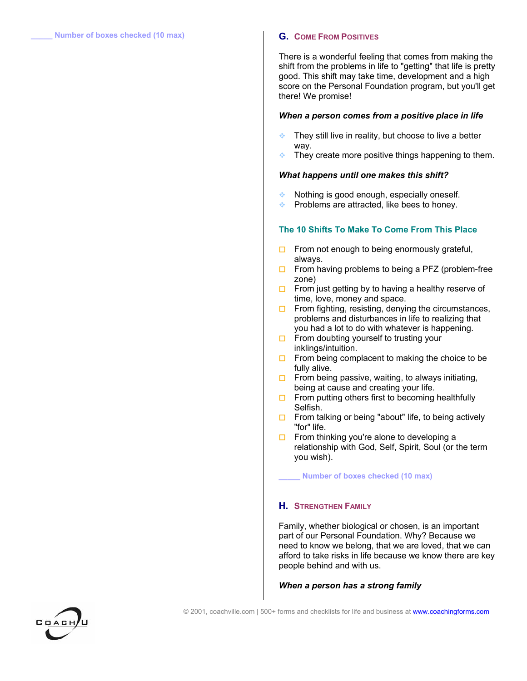There is a wonderful feeling that comes from making the shift from the problems in life to "getting" that life is pretty good. This shift may take time, development and a high score on the Personal Foundation program, but you'll get there! We promise!

#### *When a person comes from a positive place in life*

- They still live in reality, but choose to live a better way.
- $\bullet$  They create more positive things happening to them.

#### *What happens until one makes this shift?*

- Nothing is good enough, especially oneself.
- Problems are attracted, like bees to honey.

### **The 10 Shifts To Make To Come From This Place**

- $\Box$  From not enough to being enormously grateful, always.
- $\Box$  From having problems to being a PFZ (problem-free zone)
- $\Box$  From just getting by to having a healthy reserve of time, love, money and space.
- $\Box$  From fighting, resisting, denying the circumstances, problems and disturbances in life to realizing that you had a lot to do with whatever is happening.
- $\Box$  From doubting yourself to trusting your inklings/intuition.
- $\Box$  From being complacent to making the choice to be fully alive.
- $\Box$  From being passive, waiting, to always initiating, being at cause and creating your life.
- $\Box$  From putting others first to becoming healthfully Selfish.
- $\Box$  From talking or being "about" life, to being actively "for" life.
- $\Box$  From thinking you're alone to developing a relationship with God, Self, Spirit, Soul (or the term you wish).

**\_\_\_\_\_ Number of boxes checked (10 max)** 

### **H. STRENGTHEN FAMILY**

Family, whether biological or chosen, is an important part of our Personal Foundation. Why? Because we need to know we belong, that we are loved, that we can afford to take risks in life because we know there are key people behind and with us.

#### *When a person has a strong family*

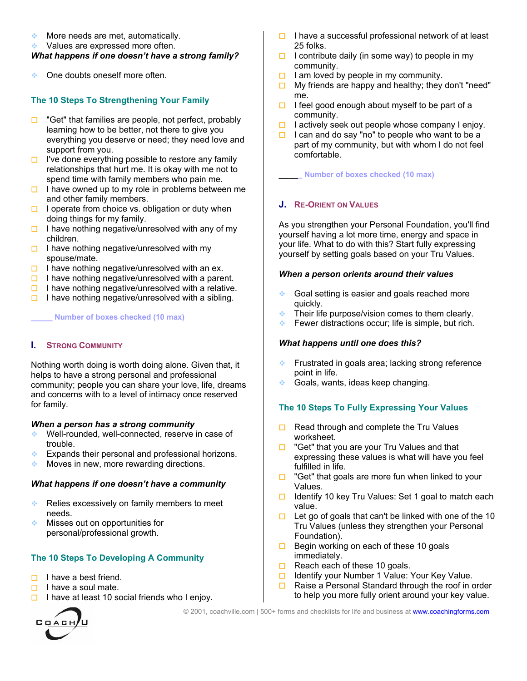- More needs are met, automatically.
- ◆ Values are expressed more often.

### *What happens if one doesn't have a strong family?*

One doubts oneself more often.

### **The 10 Steps To Strengthening Your Family**

- $\Box$  "Get" that families are people, not perfect, probably learning how to be better, not there to give you everything you deserve or need; they need love and support from you.
- $\Box$  I've done everything possible to restore any family relationships that hurt me. It is okay with me not to spend time with family members who pain me.
- $\Box$  I have owned up to my role in problems between me and other family members.
- $\Box$  I operate from choice vs. obligation or duty when doing things for my family.
- $\Box$  I have nothing negative/unresolved with any of my children.
- $\Box$  I have nothing negative/unresolved with my spouse/mate.
- $\Box$  I have nothing negative/unresolved with an ex.
- $\Box$  I have nothing negative/unresolved with a parent.
- $\Box$  I have nothing negative/unresolved with a relative.
- I have nothing negative/unresolved with a sibling.

### **\_\_\_\_\_ Number of boxes checked (10 max)**

### **I. STRONG COMMUNITY**

Nothing worth doing is worth doing alone. Given that, it helps to have a strong personal and professional community; people you can share your love, life, dreams and concerns with to a level of intimacy once reserved for family.

### *When a person has a strong community*

- Well-rounded, well-connected, reserve in case of trouble.
- $\triangle$  Expands their personal and professional horizons.
- $\cdot$  Moves in new, more rewarding directions.

### *What happens if one doesn't have a community*

- Relies excessively on family members to meet needs.
- **Misses out on opportunities for** personal/professional growth.

## **The 10 Steps To Developing A Community**

- $\Box$  I have a best friend.
- $\Box$  I have a soul mate.
- I have at least 10 social friends who I enjoy.



- $\Box$  I have a successful professional network of at least 25 folks.
- $\Box$  I contribute daily (in some way) to people in my community.
- $\Box$  I am loved by people in my community.
- $\Box$  My friends are happy and healthy; they don't "need" me.
- $\Box$  I feel good enough about myself to be part of a community.
- $\Box$  I actively seek out people whose company I enjoy.
- $\Box$  I can and do say "no" to people who want to be a part of my community, but with whom I do not feel comfortable.

**\_\_\_\_\_ Number of boxes checked (10 max)** 

### **J. RE-ORIENT ON VALUES**

As you strengthen your Personal Foundation, you'll find yourself having a lot more time, energy and space in your life. What to do with this? Start fully expressing yourself by setting goals based on your Tru Values.

### *When a person orients around their values*

- Goal setting is easier and goals reached more quickly.
- $\bullet$  Their life purpose/vision comes to them clearly.
- Fewer distractions occur; life is simple, but rich.

### *What happens until one does this?*

- **Frustrated in goals area; lacking strong reference** point in life.
- Goals, wants, ideas keep changing.

## **The 10 Steps To Fully Expressing Your Values**

- $\Box$  Read through and complete the Tru Values worksheet.
- $\Box$  "Get" that you are your Tru Values and that expressing these values is what will have you feel fulfilled in life.
- $\Box$  "Get" that goals are more fun when linked to your Values.
- Identify 10 key Tru Values: Set 1 goal to match each value.
- $\Box$  Let go of goals that can't be linked with one of the 10 Tru Values (unless they strengthen your Personal Foundation).
- $\Box$  Begin working on each of these 10 goals immediately.
- $\Box$  Reach each of these 10 goals.
- $\Box$  Identify your Number 1 Value: Your Key Value.
- $\Box$  Raise a Personal Standard through the roof in order to help you more fully orient around your key value.

© 2001, coachville.com | 500+ forms and checklists for life and business at www.coachingforms.com